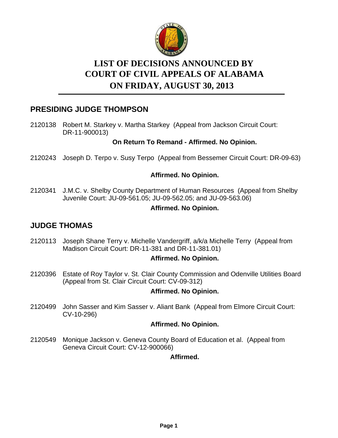

# **LIST OF DECISIONS ANNOUNCED BY ON FRIDAY, AUGUST 30, 2013 COURT OF CIVIL APPEALS OF ALABAMA**

# **PRESIDING JUDGE THOMPSON**

2120138 Robert M. Starkey v. Martha Starkey (Appeal from Jackson Circuit Court: DR-11-900013)

### **On Return To Remand - Affirmed. No Opinion.**

2120243 Joseph D. Terpo v. Susy Terpo (Appeal from Bessemer Circuit Court: DR-09-63)

### **Affirmed. No Opinion.**

J.M.C. v. Shelby County Department of Human Resources (Appeal from Shelby Juvenile Court: JU-09-561.05; JU-09-562.05; and JU-09-563.06) 2120341

#### **Affirmed. No Opinion.**

# **JUDGE THOMAS**

2120113 Joseph Shane Terry v. Michelle Vandergriff, a/k/a Michelle Terry (Appeal from Madison Circuit Court: DR-11-381 and DR-11-381.01)

### **Affirmed. No Opinion.**

2120396 Estate of Roy Taylor v. St. Clair County Commission and Odenville Utilities Board (Appeal from St. Clair Circuit Court: CV-09-312)

#### **Affirmed. No Opinion.**

John Sasser and Kim Sasser v. Aliant Bank (Appeal from Elmore Circuit Court: CV-10-296) 2120499

#### **Affirmed. No Opinion.**

2120549 Monique Jackson v. Geneva County Board of Education et al. (Appeal from Geneva Circuit Court: CV-12-900066)

#### **Affirmed.**